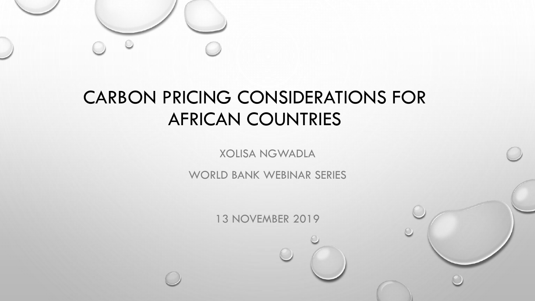

# CARBON PRICING CONSIDERATIONS FOR AFRICAN COUNTRIES

XOLISA NGWADLA

WORLD BANK WEBINAR SERIES

13 NOVEMBER 2019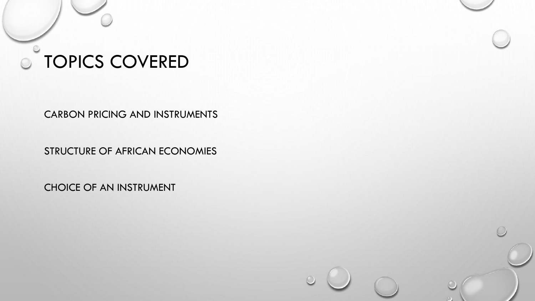# **O TOPICS COVERED**

CARBON PRICING AND INSTRUMENTS

STRUCTURE OF AFRICAN ECONOMIES

CHOICE OF AN INSTRUMENT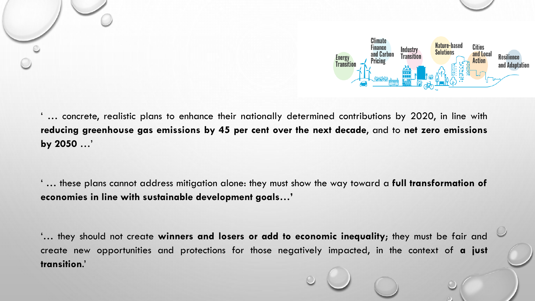

... concrete, realistic plans to enhance their nationally determined contributions by 2020, in line with **reducing greenhouse gas emissions by 45 per cent over the next decade**, and to **net zero emissions by 2050** …'

' … these plans cannot address mitigation alone: they must show the way toward a **full transformation of economies in line with sustainable development goals…'**

'… they should not create **winners and losers or add to economic inequality**; they must be fair and create new opportunities and protections for those negatively impacted, in the context of **a just transition**.'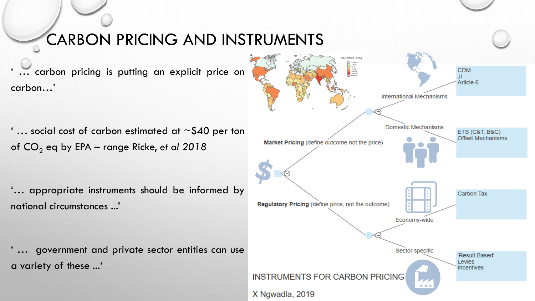#### CARBON PRICING AND INSTRUMENTS

... carbon pricing is putting an explicit price on carbon…'

'... social cost of carbon estimated at  $\sim$  \$40 per ton of CO<sup>2</sup> eq by EPA – range Ricke, *et al 2018*

'… appropriate instruments should be informed by national circumstances ...'

... government and private sector entities can use a variety of these ...'

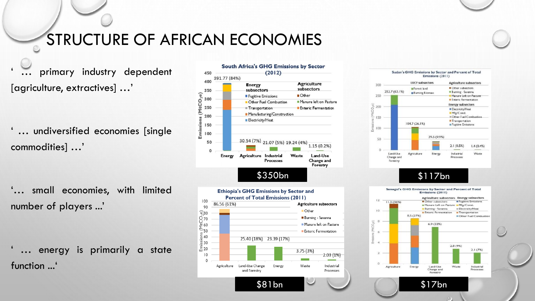### STRUCTURE OF AFRICAN ECONOMIES

primary industry dependent [agriculture, extractives] …'

... undiversified economies [single commodities] …'

'… small economies, with limited number of players ...'

... energy is primarily a state function ...'







\$81bn \$17bn